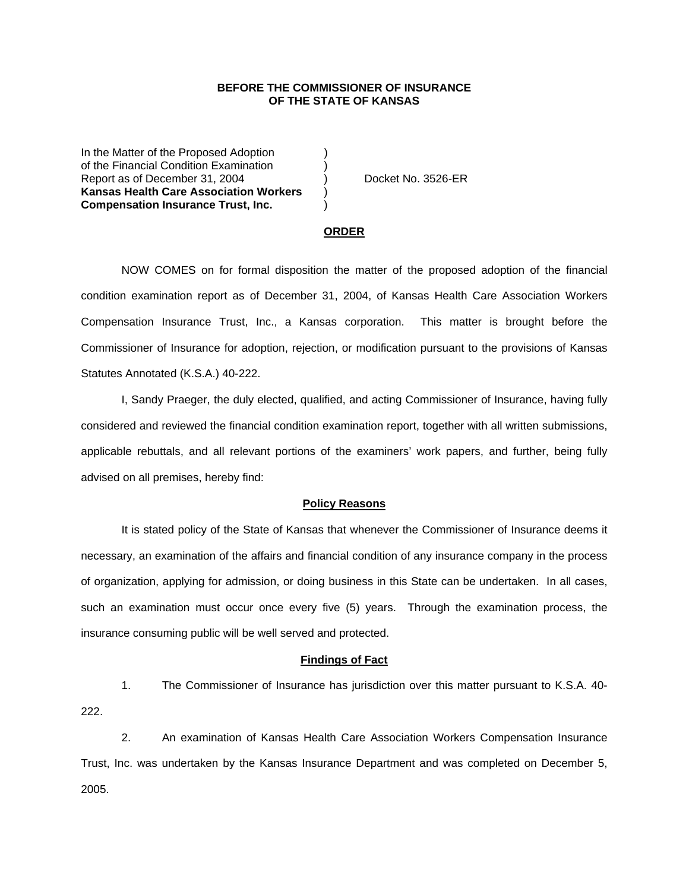## **BEFORE THE COMMISSIONER OF INSURANCE OF THE STATE OF KANSAS**

In the Matter of the Proposed Adoption of the Financial Condition Examination ) Report as of December 31, 2004 (a) Docket No. 3526-ER **Kansas Health Care Association Workers** ) **Compensation Insurance Trust, Inc.** )

### **ORDER**

 NOW COMES on for formal disposition the matter of the proposed adoption of the financial condition examination report as of December 31, 2004, of Kansas Health Care Association Workers Compensation Insurance Trust, Inc., a Kansas corporation. This matter is brought before the Commissioner of Insurance for adoption, rejection, or modification pursuant to the provisions of Kansas Statutes Annotated (K.S.A.) 40-222.

 I, Sandy Praeger, the duly elected, qualified, and acting Commissioner of Insurance, having fully considered and reviewed the financial condition examination report, together with all written submissions, applicable rebuttals, and all relevant portions of the examiners' work papers, and further, being fully advised on all premises, hereby find:

### **Policy Reasons**

 It is stated policy of the State of Kansas that whenever the Commissioner of Insurance deems it necessary, an examination of the affairs and financial condition of any insurance company in the process of organization, applying for admission, or doing business in this State can be undertaken. In all cases, such an examination must occur once every five (5) years. Through the examination process, the insurance consuming public will be well served and protected.

#### **Findings of Fact**

 1. The Commissioner of Insurance has jurisdiction over this matter pursuant to K.S.A. 40- 222.

 2. An examination of Kansas Health Care Association Workers Compensation Insurance Trust, Inc. was undertaken by the Kansas Insurance Department and was completed on December 5, 2005.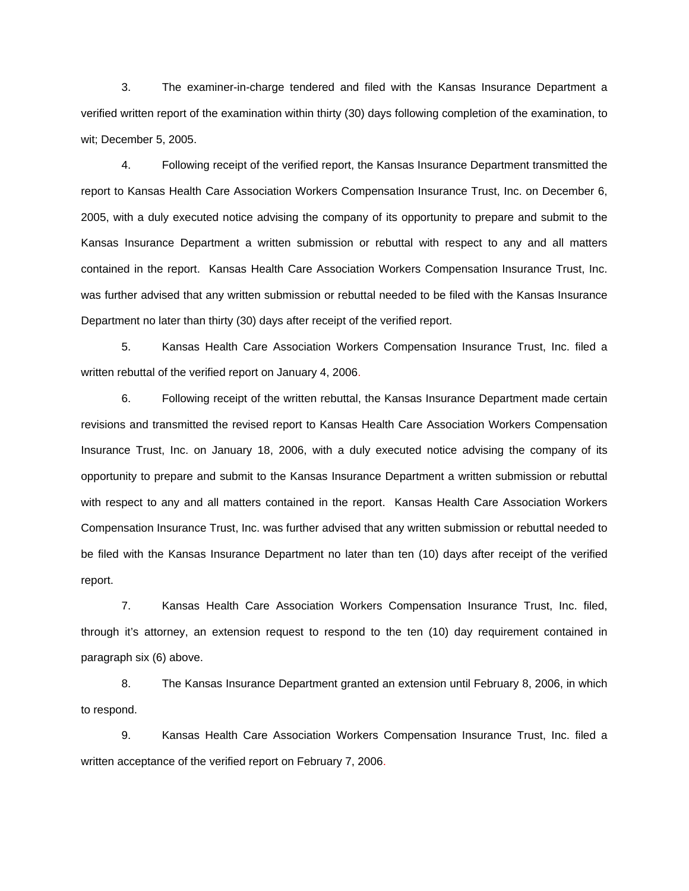3. The examiner-in-charge tendered and filed with the Kansas Insurance Department a verified written report of the examination within thirty (30) days following completion of the examination, to wit; December 5, 2005.

 4. Following receipt of the verified report, the Kansas Insurance Department transmitted the report to Kansas Health Care Association Workers Compensation Insurance Trust, Inc. on December 6, 2005, with a duly executed notice advising the company of its opportunity to prepare and submit to the Kansas Insurance Department a written submission or rebuttal with respect to any and all matters contained in the report. Kansas Health Care Association Workers Compensation Insurance Trust, Inc. was further advised that any written submission or rebuttal needed to be filed with the Kansas Insurance Department no later than thirty (30) days after receipt of the verified report.

 5. Kansas Health Care Association Workers Compensation Insurance Trust, Inc. filed a written rebuttal of the verified report on January 4, 2006.

 6. Following receipt of the written rebuttal, the Kansas Insurance Department made certain revisions and transmitted the revised report to Kansas Health Care Association Workers Compensation Insurance Trust, Inc. on January 18, 2006, with a duly executed notice advising the company of its opportunity to prepare and submit to the Kansas Insurance Department a written submission or rebuttal with respect to any and all matters contained in the report. Kansas Health Care Association Workers Compensation Insurance Trust, Inc. was further advised that any written submission or rebuttal needed to be filed with the Kansas Insurance Department no later than ten (10) days after receipt of the verified report.

 7. Kansas Health Care Association Workers Compensation Insurance Trust, Inc. filed, through it's attorney, an extension request to respond to the ten (10) day requirement contained in paragraph six (6) above.

 8. The Kansas Insurance Department granted an extension until February 8, 2006, in which to respond.

 9. Kansas Health Care Association Workers Compensation Insurance Trust, Inc. filed a written acceptance of the verified report on February 7, 2006.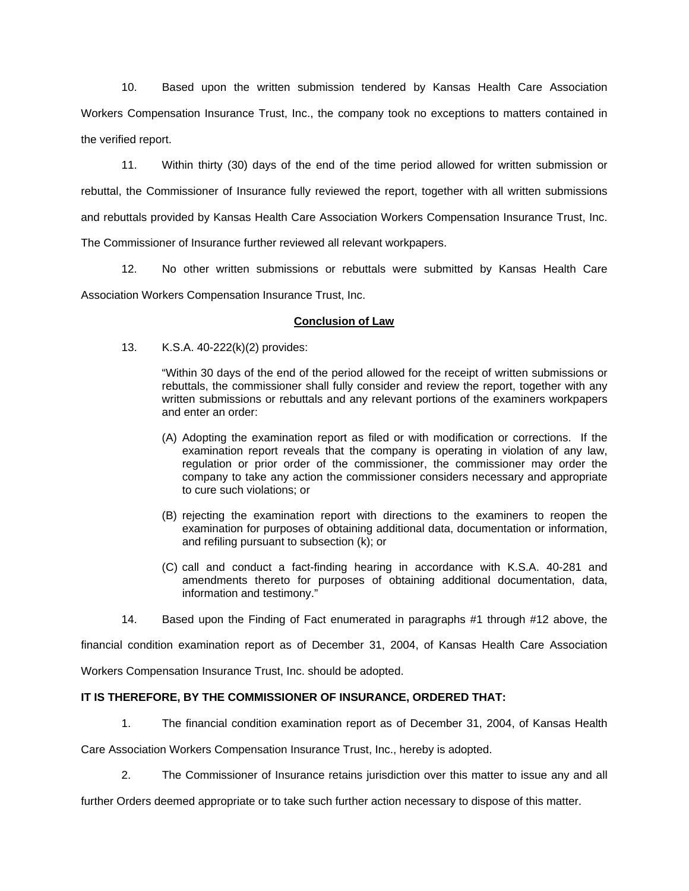10. Based upon the written submission tendered by Kansas Health Care Association Workers Compensation Insurance Trust, Inc., the company took no exceptions to matters contained in the verified report.

 11. Within thirty (30) days of the end of the time period allowed for written submission or rebuttal, the Commissioner of Insurance fully reviewed the report, together with all written submissions and rebuttals provided by Kansas Health Care Association Workers Compensation Insurance Trust, Inc. The Commissioner of Insurance further reviewed all relevant workpapers.

 12. No other written submissions or rebuttals were submitted by Kansas Health Care Association Workers Compensation Insurance Trust, Inc.

# **Conclusion of Law**

13. K.S.A. 40-222(k)(2) provides:

"Within 30 days of the end of the period allowed for the receipt of written submissions or rebuttals, the commissioner shall fully consider and review the report, together with any written submissions or rebuttals and any relevant portions of the examiners workpapers and enter an order:

- (A) Adopting the examination report as filed or with modification or corrections. If the examination report reveals that the company is operating in violation of any law, regulation or prior order of the commissioner, the commissioner may order the company to take any action the commissioner considers necessary and appropriate to cure such violations; or
- (B) rejecting the examination report with directions to the examiners to reopen the examination for purposes of obtaining additional data, documentation or information, and refiling pursuant to subsection (k); or
- (C) call and conduct a fact-finding hearing in accordance with K.S.A. 40-281 and amendments thereto for purposes of obtaining additional documentation, data, information and testimony."
- 14. Based upon the Finding of Fact enumerated in paragraphs #1 through #12 above, the

financial condition examination report as of December 31, 2004, of Kansas Health Care Association

Workers Compensation Insurance Trust, Inc. should be adopted.

# **IT IS THEREFORE, BY THE COMMISSIONER OF INSURANCE, ORDERED THAT:**

1. The financial condition examination report as of December 31, 2004, of Kansas Health

Care Association Workers Compensation Insurance Trust, Inc., hereby is adopted.

2. The Commissioner of Insurance retains jurisdiction over this matter to issue any and all

further Orders deemed appropriate or to take such further action necessary to dispose of this matter.